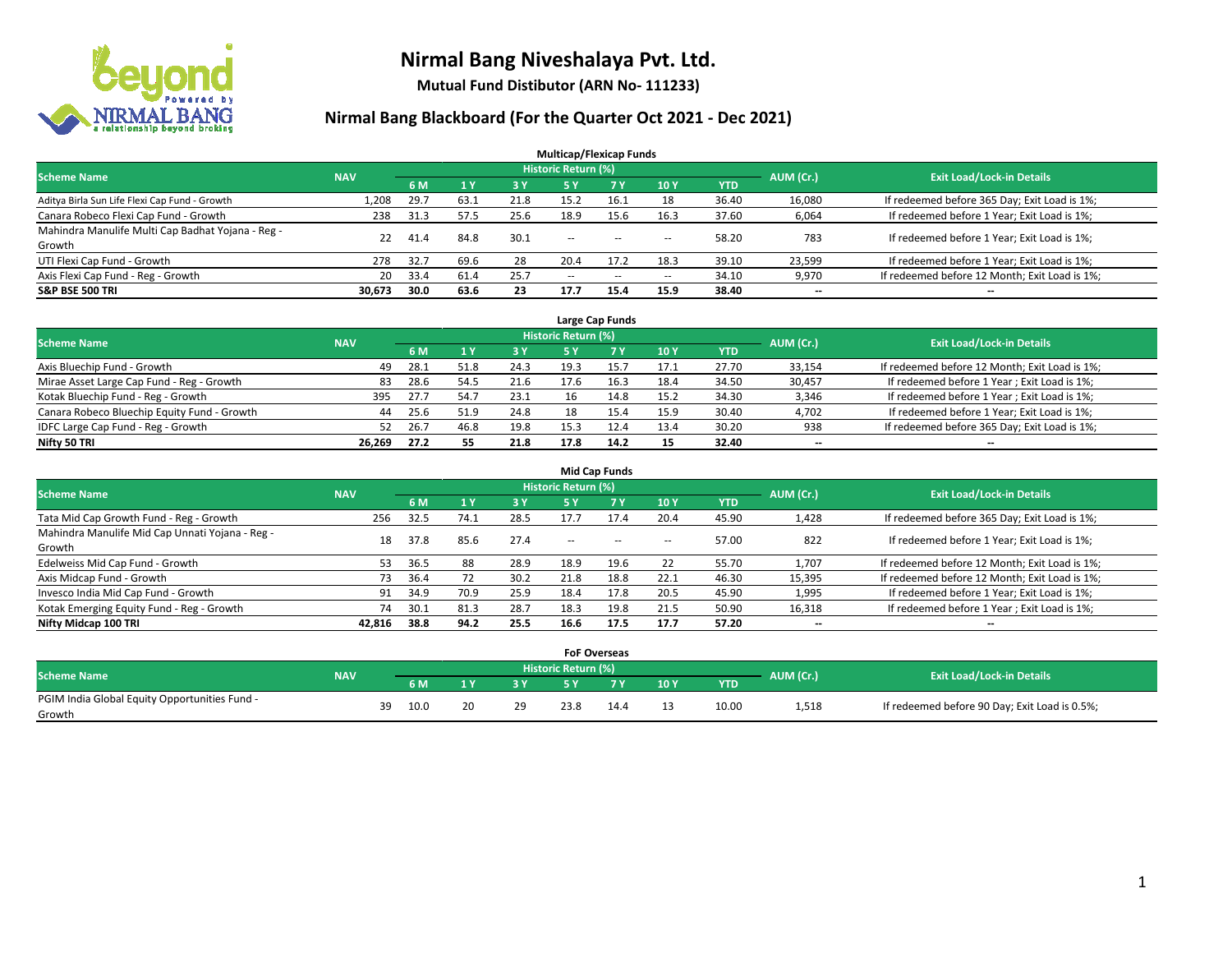

**Mutual Fund Distibutor (ARN No- 111233)**

| <b>Multicap/Flexicap Funds</b>                    |            |      |      |      |                            |            |                          |            |           |                                               |  |  |  |  |
|---------------------------------------------------|------------|------|------|------|----------------------------|------------|--------------------------|------------|-----------|-----------------------------------------------|--|--|--|--|
| <b>Scheme Name</b>                                | <b>NAV</b> |      |      |      | <b>Historic Return (%)</b> |            |                          |            | AUM (Cr.) | <b>Exit Load/Lock-in Details</b>              |  |  |  |  |
|                                                   |            | 6 M  | 1Y   | 3 Y  | 5 Y                        | <b>7 Y</b> | <b>10Y</b>               | <b>YTD</b> |           |                                               |  |  |  |  |
| Aditya Birla Sun Life Flexi Cap Fund - Growth     | 1.208      | 29.7 | 63.1 | 21.8 | 15.2                       | 16.1       | 18                       | 36.40      | 16,080    | If redeemed before 365 Day; Exit Load is 1%;  |  |  |  |  |
| Canara Robeco Flexi Cap Fund - Growth             | 238        | 31.3 | 57.5 | 25.6 | 18.9                       | 15.6       | 16.3                     | 37.60      | 6,064     | If redeemed before 1 Year; Exit Load is 1%;   |  |  |  |  |
| Mahindra Manulife Multi Cap Badhat Yojana - Reg - | 22         | 41.4 | 84.8 | 30.1 | $\overline{\phantom{a}}$   |            |                          | 58.20      | 783       | If redeemed before 1 Year; Exit Load is 1%;   |  |  |  |  |
| Growth                                            |            |      |      |      |                            | $- -$      | $\overline{\phantom{a}}$ |            |           |                                               |  |  |  |  |
| UTI Flexi Cap Fund - Growth                       | 278        | 32.7 | 69.6 | 28   | 20.4                       | 17.2       | 18.3                     | 39.10      | 23,599    | If redeemed before 1 Year; Exit Load is 1%;   |  |  |  |  |
| Axis Flexi Cap Fund - Reg - Growth                | 20         | 33.4 | 61.4 | 25.7 | $\overline{\phantom{a}}$   | $\sim$     | --                       | 34.10      | 9,970     | If redeemed before 12 Month; Exit Load is 1%; |  |  |  |  |
| <b>S&amp;P BSE 500 TRI</b>                        | 30.673     | 30.0 | 63.6 | 23   | 17.7                       | 15.4       | 15.9                     | 38.40      | $- -$     | $\overline{\phantom{a}}$                      |  |  |  |  |

|                                             |            |      |      |      |                            | Large Cap Funds |      |            |           |                                               |
|---------------------------------------------|------------|------|------|------|----------------------------|-----------------|------|------------|-----------|-----------------------------------------------|
| <b>Scheme Name</b>                          | <b>NAV</b> |      |      |      | <b>Historic Return (%)</b> |                 |      |            | AUM (Cr.) | <b>Exit Load/Lock-in Details</b>              |
|                                             |            | 6 M  |      | 3 Y  |                            | <b>7 Y</b>      | 10Y  | <b>YTD</b> |           |                                               |
| Axis Bluechip Fund - Growth                 | 49         | 28.1 | 51.8 | 24.3 | 19.3                       | 15.7            | 17.1 | 27.70      | 33,154    | If redeemed before 12 Month; Exit Load is 1%; |
| Mirae Asset Large Cap Fund - Reg - Growth   | 83         | 28.6 | 54.5 | 21.6 | 17.6                       | 16.3            | 18.4 | 34.50      | 30,457    | If redeemed before 1 Year; Exit Load is 1%;   |
| Kotak Bluechip Fund - Reg - Growth          | 395        | 27.7 | 54.7 | 23.1 | 16                         | 14.8            | 15.2 | 34.30      | 3,346     | If redeemed before 1 Year; Exit Load is 1%;   |
| Canara Robeco Bluechip Equity Fund - Growth | 44         | 25.6 | 51.9 | 24.8 | 18                         | 15.4            | 15.9 | 30.40      | 4,702     | If redeemed before 1 Year; Exit Load is 1%;   |
| IDFC Large Cap Fund - Reg - Growth          | 52         | 26.7 | 46.8 | 19.8 | 15.3                       |                 | 13.4 | 30.20      | 938       | If redeemed before 365 Day; Exit Load is 1%;  |
| Nifty 50 TRI                                | 26.269     | 27.2 | 55   | 21.8 | 17.8                       | 14.2            | 15   | 32.40      | $- -$     | $- -$                                         |

| <b>Mid Cap Funds</b>                                      |            |      |      |      |                     |           |                          |       |                          |                                               |  |  |  |  |
|-----------------------------------------------------------|------------|------|------|------|---------------------|-----------|--------------------------|-------|--------------------------|-----------------------------------------------|--|--|--|--|
| <b>Scheme Name</b>                                        | <b>NAV</b> |      |      |      | Historic Return (%) |           |                          |       | AUM (Cr.)                | <b>Exit Load/Lock-in Details</b>              |  |  |  |  |
|                                                           |            | 6 M  |      | 3 Y  | 5 Y                 | <b>7Y</b> | 10Y                      | YTD   |                          |                                               |  |  |  |  |
| Tata Mid Cap Growth Fund - Reg - Growth                   | 256        | 32.5 | 74.1 | 28.5 | 17.7                | 17.4      | 20.4                     | 45.90 | 1,428                    | If redeemed before 365 Day; Exit Load is 1%;  |  |  |  |  |
| Mahindra Manulife Mid Cap Unnati Yojana - Reg -<br>Growth | 18         | 37.8 | 85.6 | 27.4 | $- -$               | $\sim$    | $\overline{\phantom{a}}$ | 57.00 | 822                      | If redeemed before 1 Year; Exit Load is 1%;   |  |  |  |  |
| Edelweiss Mid Cap Fund - Growth                           | 53.        | 36.5 | 88   | 28.9 | 18.9                | 19.6      | 22                       | 55.70 | 1,707                    | If redeemed before 12 Month; Exit Load is 1%; |  |  |  |  |
| Axis Midcap Fund - Growth                                 | 73         | 36.4 |      | 30.2 | 21.8                | 18.8      | 22.1                     | 46.30 | 15,395                   | If redeemed before 12 Month; Exit Load is 1%; |  |  |  |  |
| Invesco India Mid Cap Fund - Growth                       | 91         | 34.9 | 70.9 | 25.9 | 18.4                | 17.8      | 20.5                     | 45.90 | 1,995                    | If redeemed before 1 Year; Exit Load is 1%;   |  |  |  |  |
| Kotak Emerging Equity Fund - Reg - Growth                 | 74         | 30.1 | 81.3 | 28.7 | 18.3                | 19.8      | 21.5                     | 50.90 | 16,318                   | If redeemed before 1 Year; Exit Load is 1%;   |  |  |  |  |
| Nifty Midcap 100 TRI                                      | 42.816     | 38.8 | 94.2 | 25.5 | 16.6                | 17.5      | 17.7                     | 57.20 | $\overline{\phantom{a}}$ | $-$                                           |  |  |  |  |

|                                               |            |    |      |    |                            | <b>FoF Overseas</b> |                 |            |           |                                               |  |
|-----------------------------------------------|------------|----|------|----|----------------------------|---------------------|-----------------|------------|-----------|-----------------------------------------------|--|
| Scheme Name                                   | <b>NAV</b> |    |      |    | <b>Historic Return (%)</b> |                     |                 |            | AUM (Cr.) | <b>Exit Load/Lock-in Details</b>              |  |
|                                               |            |    | 6 M  | зv |                            | 7 V                 | 10 <sub>Y</sub> | <b>YTD</b> |           |                                               |  |
| PGIM India Global Equity Opportunities Fund - |            | 39 | 10.0 | 29 | 23.8                       | 14.4                |                 | 10.00      | 1,518     | If redeemed before 90 Day; Exit Load is 0.5%; |  |
| Growth                                        |            |    |      |    |                            |                     |                 |            |           |                                               |  |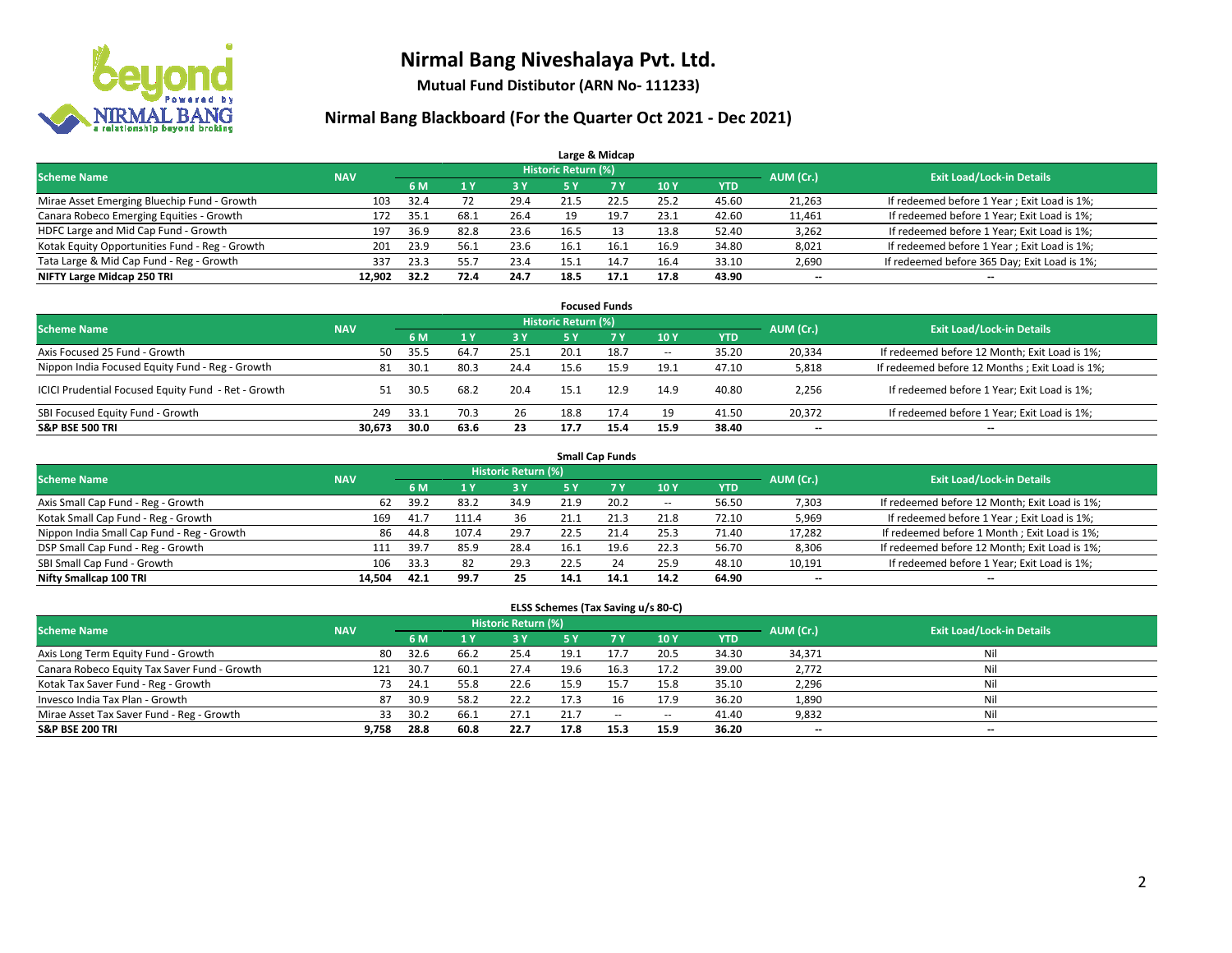

**Mutual Fund Distibutor (ARN No- 111233)**

### **Nirmal Bang Blackboard (For the Quarter Oct 2021 - Dec 2021)**

|                                                |            |      |      |      |                            | Large & Midcap |            |            |                          |                                              |
|------------------------------------------------|------------|------|------|------|----------------------------|----------------|------------|------------|--------------------------|----------------------------------------------|
| <b>Scheme Name</b>                             | <b>NAV</b> |      |      |      | <b>Historic Return (%)</b> |                |            |            | AUM (Cr.)                | <b>Exit Load/Lock-in Details</b>             |
|                                                |            | 6 M  |      | 3 Y  | 5 Y                        | 7 Y            | <b>10Y</b> | <b>YTD</b> |                          |                                              |
| Mirae Asset Emerging Bluechip Fund - Growth    | 103        | 32.4 | 72   | 29.4 | 21.5                       | 22.5           | 25.2       | 45.60      | 21,263                   | If redeemed before 1 Year; Exit Load is 1%;  |
| Canara Robeco Emerging Equities - Growth       | 172        | 35.1 | 68.1 | 26.4 | 19                         | 19.7           | 23.1       | 42.60      | 11,461                   | If redeemed before 1 Year; Exit Load is 1%;  |
| HDFC Large and Mid Cap Fund - Growth           | 197        | 36.9 | 82.8 | 23.6 | 16.5                       |                | 13.8       | 52.40      | 3,262                    | If redeemed before 1 Year; Exit Load is 1%;  |
| Kotak Equity Opportunities Fund - Reg - Growth | 201        | 23.9 | 56.1 | 23.6 | 16.1                       | 16.1           | 16.9       | 34.80      | 8,021                    | If redeemed before 1 Year; Exit Load is 1%;  |
| Tata Large & Mid Cap Fund - Reg - Growth       | 337        | 23.3 | 55.7 | 23.4 | 15.1                       | 14.7           | 16.4       | 33.10      | 2,690                    | If redeemed before 365 Day; Exit Load is 1%; |
| NIFTY Large Midcap 250 TRI                     | 12.902     | 32.2 | 72.4 | 24.7 | 18.5                       | 17.1           | 17.8       | 43.90      | $\overline{\phantom{a}}$ | $- -$                                        |

|                                                     |            |      |       |            |                     | <b>Focused Funds</b> |                          |       |                          |                                                 |
|-----------------------------------------------------|------------|------|-------|------------|---------------------|----------------------|--------------------------|-------|--------------------------|-------------------------------------------------|
| <b>Scheme Name</b>                                  | <b>NAV</b> |      |       |            | Historic Return (%) |                      |                          |       | AUM (Cr.)                | <b>Exit Load/Lock-in Details</b>                |
|                                                     |            | 6 M  |       | <b>3 Y</b> | 5 Y                 | <b>7Y</b>            | 10Y                      | YTD   |                          |                                                 |
| Axis Focused 25 Fund - Growth                       | 50         | 35.5 | -64.7 | 25.1       | 20.1                | 18.7                 | $\overline{\phantom{a}}$ | 35.20 | 20,334                   | If redeemed before 12 Month; Exit Load is 1%;   |
| Nippon India Focused Equity Fund - Reg - Growth     | 81         | 30.1 | 80.3  | 24.4       | 15.6                | 15.9                 | 19.1                     | 47.10 | 5,818                    | If redeemed before 12 Months ; Exit Load is 1%; |
| ICICI Prudential Focused Equity Fund - Ret - Growth | 51         | 30.5 | 68.2  | 20.4       | 15.3                | 12.9                 | 14.9                     | 40.80 | 2,256                    | If redeemed before 1 Year; Exit Load is 1%;     |
| SBI Focused Equity Fund - Growth                    | 249        | 33.1 | 70.3  | 26         | 18.8                | 17.4                 | 19                       | 41.50 | 20,372                   | If redeemed before 1 Year; Exit Load is 1%;     |
| <b>S&amp;P BSE 500 TRI</b>                          | 30.673     | 30.0 | 63.6  | 23         | 17.7                | 15.4                 | 15.9                     | 38.40 | $\overline{\phantom{a}}$ | --                                              |

| <b>Small Cap Funds</b>                     |            |      |       |                     |      |           |                          |            |                          |                                               |  |  |  |  |
|--------------------------------------------|------------|------|-------|---------------------|------|-----------|--------------------------|------------|--------------------------|-----------------------------------------------|--|--|--|--|
| <b>Scheme Name</b>                         | <b>NAV</b> |      |       | Historic Return (%) |      |           |                          |            | AUM (Cr.)                | <b>Exit Load/Lock-in Details</b>              |  |  |  |  |
|                                            |            | 6 M  |       | 73 Y.               | 5 Y  | <b>7Y</b> | <b>10Y</b>               | <b>YTD</b> |                          |                                               |  |  |  |  |
| Axis Small Cap Fund - Reg - Growth         | 62         | 39.2 | 83.2  | 34.9                | 21.9 | 20.2      | $\overline{\phantom{a}}$ | 56.50      | 7,303                    | If redeemed before 12 Month; Exit Load is 1%; |  |  |  |  |
| Kotak Small Cap Fund - Reg - Growth        | 169        | 41.7 | 111.4 | 36                  | 21.1 | 21.3      | 21.8                     | 72.10      | 5,969                    | If redeemed before 1 Year; Exit Load is 1%;   |  |  |  |  |
| Nippon India Small Cap Fund - Reg - Growth | 86         | 44.8 | 107.4 | 29.7                | 22.5 | 21.4      | 25.3                     | 71.40      | 17,282                   | If redeemed before 1 Month; Exit Load is 1%;  |  |  |  |  |
| DSP Small Cap Fund - Reg - Growth          | 111        | 39.7 | 85.9  | 28.4                | 16.1 | 19.6      | 22.3                     | 56.70      | 8,306                    | If redeemed before 12 Month; Exit Load is 1%; |  |  |  |  |
| SBI Small Cap Fund - Growth                | 106        | 33.3 | 82    | 29.3                | 22.5 | 24        | 25.9                     | 48.10      | 10,191                   | If redeemed before 1 Year; Exit Load is 1%;   |  |  |  |  |
| Nifty Smallcap 100 TRI                     | 14.504     | 42.1 | 99.7  | 25                  | 14.1 | 14.1      | 14.2                     | 64.90      | $\overline{\phantom{m}}$ | $- -$                                         |  |  |  |  |

#### **ELSS Schemes (Tax Saving u/s 80-C)**

| <b>Scheme Name</b>                           | <b>NAV</b> |      |      | Historic Return (%) |      |        |                          |            | AUM (Cr.)                | <b>Exit Load/Lock-in Details</b> |
|----------------------------------------------|------------|------|------|---------------------|------|--------|--------------------------|------------|--------------------------|----------------------------------|
|                                              |            | 6 M  |      | 73 Y.               | 5 Y  | 7 Y    | 10Y                      | <b>YTD</b> |                          |                                  |
| Axis Long Term Equity Fund - Growth          | 80         | 32.6 | 66.7 | 25.4                | 19.1 | 17.7   | 20.5                     | 34.30      | 34,371                   | Nil                              |
| Canara Robeco Equity Tax Saver Fund - Growth | 121        | 30.7 | 60.1 | 27.4                | 19.6 | 16.3   | 17.2                     | 39.00      | 2,772                    | Nil                              |
| Kotak Tax Saver Fund - Reg - Growth          | 73         | 24.1 | 55.8 | 22.6                | 15.9 | 15.7   | 15.8                     | 35.10      | 2,296                    | Nil                              |
| Invesco India Tax Plan - Growth              | 87         | 30.9 | 58.2 | 22.2                | 17.3 |        | 17.9                     | 36.20      | 1,890                    | Nil                              |
| Mirae Asset Tax Saver Fund - Reg - Growth    | 33         | 30.2 | 66.1 | 27.1                | 21.7 | $\sim$ | $\hspace{0.05cm} \cdots$ | 41.40      | 9,832                    | Nil                              |
| <b>S&amp;P BSE 200 TRI</b>                   | 9,758      | 28.8 | 60.8 | 22.7                | 17.8 | 15.3   | 15.9                     | 36.20      | $\overline{\phantom{a}}$ | --                               |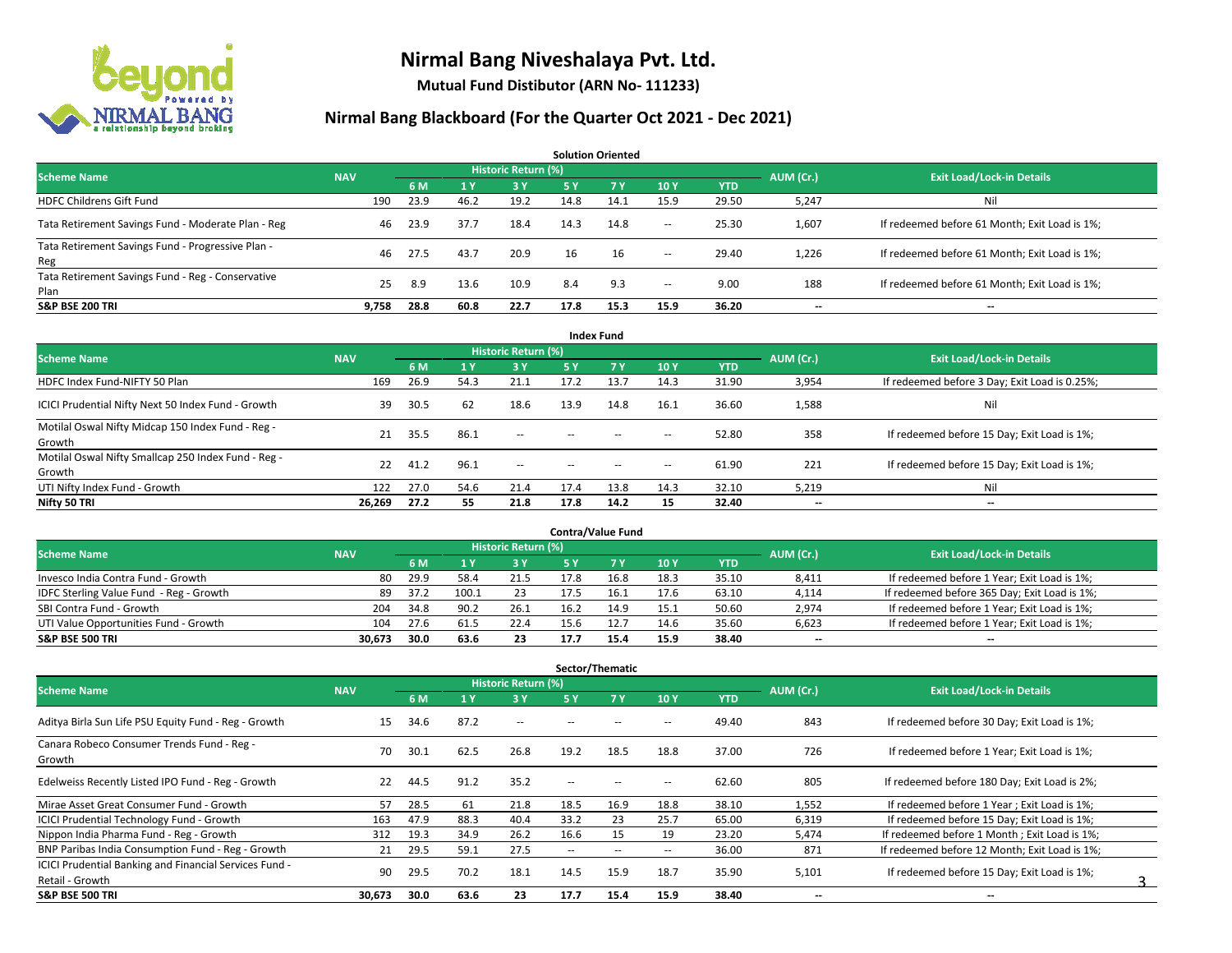

**Mutual Fund Distibutor (ARN No- 111233)**

| <b>Solution Oriented</b>                                  |            |      |      |                     |      |      |        |            |                          |                                               |  |  |  |  |
|-----------------------------------------------------------|------------|------|------|---------------------|------|------|--------|------------|--------------------------|-----------------------------------------------|--|--|--|--|
| <b>Scheme Name</b>                                        | <b>NAV</b> |      |      | Historic Return (%) |      |      |        |            | AUM (Cr.)                | <b>Exit Load/Lock-in Details</b>              |  |  |  |  |
|                                                           |            | 6 M  |      | $-3V$               | 5 Y  | 7Y   | 10Y    | <b>YTD</b> |                          |                                               |  |  |  |  |
| <b>HDFC Childrens Gift Fund</b>                           | 190        | 23.9 | 46.2 | 19.2                | 14.8 | 14.1 | 15.9   | 29.50      | 5,247                    | Ni                                            |  |  |  |  |
| Tata Retirement Savings Fund - Moderate Plan - Reg        | 46         | 23.9 | 37.7 | 18.4                | 14.3 | 14.8 | $\sim$ | 25.30      | 1,607                    | If redeemed before 61 Month; Exit Load is 1%; |  |  |  |  |
| Tata Retirement Savings Fund - Progressive Plan -<br>Reg  | 46         | 27.5 | 43.7 | 20.9                | 16   | 16   | $\sim$ | 29.40      | 1,226                    | If redeemed before 61 Month; Exit Load is 1%; |  |  |  |  |
| Tata Retirement Savings Fund - Reg - Conservative<br>Plan | 25         | 8.9  | 13.6 | 10.9                | 8.4  | 9.3  | $\sim$ | 9.00       | 188                      | If redeemed before 61 Month; Exit Load is 1%; |  |  |  |  |
| <b>S&amp;P BSE 200 TRI</b>                                | 9.758      | 28.8 | 60.8 | 22.7                | 17.8 | 15.3 | 15.9   | 36.20      | $\overline{\phantom{a}}$ | $- -$                                         |  |  |  |  |

|                                                               |            |      |      |                            |        | <b>Index Fund</b> |                          |            |           |                                               |
|---------------------------------------------------------------|------------|------|------|----------------------------|--------|-------------------|--------------------------|------------|-----------|-----------------------------------------------|
| <b>Scheme Name</b>                                            | <b>NAV</b> |      |      | <b>Historic Return (%)</b> |        |                   |                          |            | AUM (Cr.) | <b>Exit Load/Lock-in Details</b>              |
|                                                               |            | 6 M  | 1 Y  | <b>3 Y</b>                 | 5 Y    | 7 <sub>V</sub>    | 10Y                      | <b>YTD</b> |           |                                               |
| HDFC Index Fund-NIFTY 50 Plan                                 | 169        | 26.9 | 54.3 | 21.1                       | 17.2   | 13.7              | 14.3                     | 31.90      | 3,954     | If redeemed before 3 Day; Exit Load is 0.25%; |
| ICICI Prudential Nifty Next 50 Index Fund - Growth            | 39         | 30.5 | 62   | 18.6                       | 13.9   | 14.8              | 16.1                     | 36.60      | 1,588     | Nil                                           |
| Motilal Oswal Nifty Midcap 150 Index Fund - Reg -<br>Growth   | 21         | 35.5 | 86.1 | $- -$                      | $\sim$ | $-$               | $\overline{\phantom{a}}$ | 52.80      | 358       | If redeemed before 15 Day; Exit Load is 1%;   |
| Motilal Oswal Nifty Smallcap 250 Index Fund - Reg -<br>Growth | 22         | 41.2 | 96.1 | $\overline{\phantom{a}}$   | $\sim$ | $-$               | $\overline{\phantom{a}}$ | 61.90      | 221       | If redeemed before 15 Day; Exit Load is 1%;   |
| UTI Nifty Index Fund - Growth                                 | 122        | 27.0 | 54.6 | 21.4                       | 17.4   | 13.8              | 14.3                     | 32.10      | 5,219     | Nil                                           |
| Nifty 50 TRI                                                  | 26,269     | 27.2 | 55   | 21.8                       | 17.8   | 14.2              | 15                       | 32.40      | $- -$     | $\overline{\phantom{a}}$                      |

| <b>Contra/Value Fund</b>                |            |      |       |                     |      |      |      |       |           |                                              |  |  |  |  |
|-----------------------------------------|------------|------|-------|---------------------|------|------|------|-------|-----------|----------------------------------------------|--|--|--|--|
| <b>Scheme Name</b>                      | <b>NAV</b> |      |       | Historic Return (%) |      |      |      |       | AUM (Cr.) | <b>Exit Load/Lock-in Details</b>             |  |  |  |  |
|                                         |            | 6 M  |       | 3 Y                 |      |      | 10Y  | YTD   |           |                                              |  |  |  |  |
| Invesco India Contra Fund - Growth      | -80        | 29.9 | 58.4  | 21.5                | 17.8 | 16.8 | 18.3 | 35.10 | 8,411     | If redeemed before 1 Year; Exit Load is 1%;  |  |  |  |  |
| IDFC Sterling Value Fund - Reg - Growth | 89         | 37.2 | 100.1 | 23                  |      | 16.1 | 17.6 | 63.10 | 4,114     | If redeemed before 365 Day; Exit Load is 1%; |  |  |  |  |
| SBI Contra Fund - Growth                | 204        | 34.8 | 90.2  | 26.1                | 16.2 | 14.9 | 15.1 | 50.60 | 2,974     | If redeemed before 1 Year; Exit Load is 1%;  |  |  |  |  |
| UTI Value Opportunities Fund - Growth   | 104        | 27.6 | 61.5  | 22.4                | 15.6 |      | 14.6 | 35.60 | 6,623     | If redeemed before 1 Year; Exit Load is 1%;  |  |  |  |  |
| <b>S&amp;P BSE 500 TRI</b>              | 30.673     | 30.0 | 63.6  | 23                  |      | 15.4 | 15.9 | 38.40 | $- -$     | $- -$                                        |  |  |  |  |

| Sector/Thematic                                        |            |      |      |                            |                          |                          |                          |            |                          |                                               |  |  |  |
|--------------------------------------------------------|------------|------|------|----------------------------|--------------------------|--------------------------|--------------------------|------------|--------------------------|-----------------------------------------------|--|--|--|
| <b>Scheme Name</b>                                     | <b>NAV</b> |      |      | <b>Historic Return (%)</b> |                          |                          |                          |            | AUM (Cr.)                | <b>Exit Load/Lock-in Details</b>              |  |  |  |
|                                                        |            | 6 M  |      | <b>3 Y</b>                 | 5 Y                      | 7 Y                      | 10Y                      | <b>YTD</b> |                          |                                               |  |  |  |
| Aditya Birla Sun Life PSU Equity Fund - Reg - Growth   | 15         | 34.6 | 87.2 | $\overline{\phantom{a}}$   |                          |                          | $\overline{\phantom{a}}$ | 49.40      | 843                      | If redeemed before 30 Day; Exit Load is 1%;   |  |  |  |
| Canara Robeco Consumer Trends Fund - Reg -<br>Growth   | 70         | 30.1 | 62.5 | 26.8                       | 19.2                     | 18.5                     | 18.8                     | 37.00      | 726                      | If redeemed before 1 Year; Exit Load is 1%;   |  |  |  |
| Edelweiss Recently Listed IPO Fund - Reg - Growth      | 22         | 44.5 | 91.2 | 35.2                       | --                       |                          | $\sim$                   | 62.60      | 805                      | If redeemed before 180 Day; Exit Load is 2%;  |  |  |  |
| Mirae Asset Great Consumer Fund - Growth               | 57         | 28.5 | 61   | 21.8                       | 18.5                     | 16.9                     | 18.8                     | 38.10      | 1,552                    | If redeemed before 1 Year; Exit Load is 1%;   |  |  |  |
| <b>ICICI Prudential Technology Fund - Growth</b>       | 163        | 47.9 | 88.3 | 40.4                       | 33.2                     | 23                       | 25.7                     | 65.00      | 6,319                    | If redeemed before 15 Day; Exit Load is 1%;   |  |  |  |
| Nippon India Pharma Fund - Reg - Growth                | 312        | 19.3 | 34.9 | 26.2                       | 16.6                     | 15                       | 19                       | 23.20      | 5,474                    | If redeemed before 1 Month; Exit Load is 1%;  |  |  |  |
| BNP Paribas India Consumption Fund - Reg - Growth      | 21         | 29.5 | 59.1 | 27.5                       | $\overline{\phantom{a}}$ | $\overline{\phantom{m}}$ | $\overline{\phantom{a}}$ | 36.00      | 871                      | If redeemed before 12 Month; Exit Load is 1%; |  |  |  |
| ICICI Prudential Banking and Financial Services Fund - | 90         | 29.5 | 70.2 | 18.1                       | 14.5                     | 15.9                     | 18.7                     | 35.90      | 5,101                    | If redeemed before 15 Day; Exit Load is 1%;   |  |  |  |
| Retail - Growth                                        |            |      |      |                            |                          |                          |                          |            |                          |                                               |  |  |  |
| <b>S&amp;P BSE 500 TRI</b>                             | 30,673     | 30.0 | 63.6 | 23                         | 17.7                     | 15.4                     | 15.9                     | 38.40      | $\overline{\phantom{a}}$ | $\overline{\phantom{a}}$                      |  |  |  |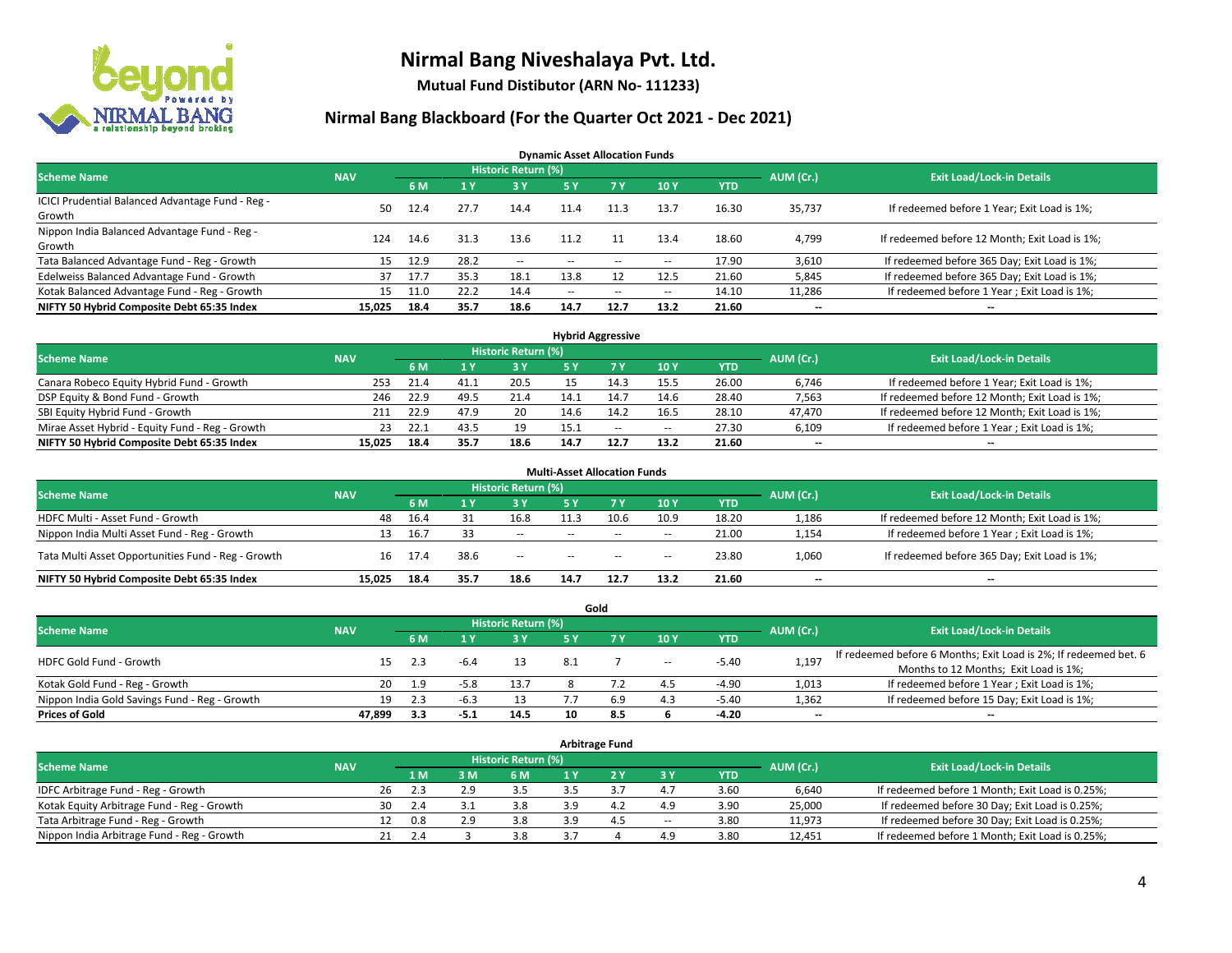

**Mutual Fund Distibutor (ARN No- 111233)**

### **Nirmal Bang Blackboard (For the Quarter Oct 2021 - Dec 2021)**

**Dynamic Asset Allocation Funds**

| <b>Scheme Name</b>                                         | <b>NAV</b> |      |      | <b>Historic Return (%)</b> |        |                          |                          |       | AUM (Cr.)                | <b>Exit Load/Lock-in Details</b>              |
|------------------------------------------------------------|------------|------|------|----------------------------|--------|--------------------------|--------------------------|-------|--------------------------|-----------------------------------------------|
|                                                            |            | 6 M  |      | <b>3Y</b>                  | 5 Y    | 7 Y                      | 10Y                      | YTD   |                          |                                               |
| ICICI Prudential Balanced Advantage Fund - Reg -<br>Growth | 50.        | 12.4 | 27.7 | 14.4                       | 11.4   | 11.3                     | 13.7                     | 16.30 | 35,737                   | If redeemed before 1 Year; Exit Load is 1%;   |
| Nippon India Balanced Advantage Fund - Reg -<br>Growth     | 124        | 14.6 | 31.3 | 13.6                       | 11.2   |                          | 13.4                     | 18.60 | 4,799                    | If redeemed before 12 Month; Exit Load is 1%; |
| Tata Balanced Advantage Fund - Reg - Growth                | 15         | 12.9 | 28.2 | $\sim$                     | $-$    | $\overline{\phantom{a}}$ | $\overline{\phantom{a}}$ | 17.90 | 3,610                    | If redeemed before 365 Day; Exit Load is 1%;  |
| Edelweiss Balanced Advantage Fund - Growth                 | 37         | 17.7 | 35.3 | 18.1                       | 13.8   |                          | 12.5                     | 21.60 | 5,845                    | If redeemed before 365 Day; Exit Load is 1%;  |
| Kotak Balanced Advantage Fund - Reg - Growth               | 15         |      | 22.2 | 14.4                       | $\sim$ | $\overline{\phantom{a}}$ | $\overline{\phantom{a}}$ | 14.10 | 11,286                   | If redeemed before 1 Year; Exit Load is 1%;   |
| NIFTY 50 Hybrid Composite Debt 65:35 Index                 | 15.025     | 18.4 | 35.7 | 18.6                       | 14.7   | 12.7                     | 13.2                     | 21.60 | $\overline{\phantom{a}}$ | --                                            |

| <b>Hybrid Aggressive</b>                        |            |             |      |                            |      |        |        |            |           |                                               |  |  |  |
|-------------------------------------------------|------------|-------------|------|----------------------------|------|--------|--------|------------|-----------|-----------------------------------------------|--|--|--|
| <b>Scheme Name</b>                              | <b>NAV</b> |             |      | <b>Historic Return (%)</b> |      |        |        |            | AUM (Cr.) | <b>Exit Load/Lock-in Details</b>              |  |  |  |
|                                                 |            | 6 M         |      | 3 Y                        |      |        | 10Y    | <b>YTD</b> |           |                                               |  |  |  |
| Canara Robeco Equity Hybrid Fund - Growth       |            | 253<br>21.4 | 41.1 | 20.5                       |      | 14.3   | 15.5   | 26.00      | 6,746     | If redeemed before 1 Year; Exit Load is 1%;   |  |  |  |
| DSP Equity & Bond Fund - Growth                 |            | 22.9<br>246 | 49.5 | 21.4                       |      |        | 14.6   | 28.40      | 7,563     | If redeemed before 12 Month; Exit Load is 1%; |  |  |  |
| SBI Equity Hybrid Fund - Growth                 |            | 22.9<br>211 | 47.9 | 20                         | 14.6 | 14.2   | 16.5   | 28.10      | 47,470    | If redeemed before 12 Month; Exit Load is 1%; |  |  |  |
| Mirae Asset Hybrid - Equity Fund - Reg - Growth |            | 22.1<br>23  | 43.5 | 19                         | 15.1 | $\sim$ | $\sim$ | 27.30      | 6,109     | If redeemed before 1 Year; Exit Load is 1%;   |  |  |  |
| NIFTY 50 Hybrid Composite Debt 65:35 Index      | 15.025     | 18.4        | 35.7 | 18.6                       | 14.7 | 12.7   | 13.2   | 21.60      | $- -$     | $- -$                                         |  |  |  |

| <b>Multi-Asset Allocation Funds</b>                |            |      |      |                     |               |                |      |            |           |                                               |  |  |  |
|----------------------------------------------------|------------|------|------|---------------------|---------------|----------------|------|------------|-----------|-----------------------------------------------|--|--|--|
| <b>Scheme Name</b>                                 | <b>NAV</b> |      |      | Historic Return (%) |               |                |      |            | AUM (Cr.) | <b>Exit Load/Lock-in Details</b>              |  |  |  |
|                                                    |            | 6 M  |      | 3 Y                 | 5 Y           | 7 <sub>Y</sub> | 10Y  | <b>YTD</b> |           |                                               |  |  |  |
| HDFC Multi - Asset Fund - Growth                   | 48         | 16.4 |      | 16.8                | 11.5          | 10.6           | 10.9 | 18.20      | 1,186     | If redeemed before 12 Month; Exit Load is 1%; |  |  |  |
| Nippon India Multi Asset Fund - Reg - Growth       | 13         | 16.7 | 33   | --                  | $\sim$ $\sim$ | $-$            | $-$  | 21.00      | 1,154     | If redeemed before 1 Year; Exit Load is 1%;   |  |  |  |
| Tata Multi Asset Opportunities Fund - Reg - Growth | 16         | 17.4 | 38.6 | $-$                 | $\sim$ $\sim$ | $-$            | $-$  | 23.80      | 1,060     | If redeemed before 365 Day; Exit Load is 1%;  |  |  |  |
| NIFTY 50 Hybrid Composite Debt 65:35 Index         | 15.025     | 18.4 | 35.7 | 18.6                | 14.7          | 12.7           | 13.2 | 21.60      | --        | $\overline{\phantom{a}}$                      |  |  |  |

| Gold                                          |            |     |        |                            |     |     |                          |            |                          |                                                                  |  |  |  |  |
|-----------------------------------------------|------------|-----|--------|----------------------------|-----|-----|--------------------------|------------|--------------------------|------------------------------------------------------------------|--|--|--|--|
| <b>Scheme Name</b>                            | <b>NAV</b> |     |        | <b>Historic Return (%)</b> |     |     |                          |            | AUM (Cr.)                | <b>Exit Load/Lock-in Details</b>                                 |  |  |  |  |
|                                               |            | 6 M |        | 73 Y.                      | 5 Y |     | 10Y                      | <b>YTD</b> |                          |                                                                  |  |  |  |  |
| HDFC Gold Fund - Growth                       |            | 2.3 |        |                            | 8.1 |     |                          | $-5.40$    |                          | If redeemed before 6 Months; Exit Load is 2%; If redeemed bet. 6 |  |  |  |  |
|                                               | 15         |     |        |                            |     |     | $\overline{\phantom{a}}$ |            | 1,197                    | Months to 12 Months; Exit Load is 1%;                            |  |  |  |  |
| Kotak Gold Fund - Reg - Growth                | 20         | 1.9 | $-5.8$ | 13.7                       |     |     | 4.5                      | $-4.90$    | 1,013                    | If redeemed before 1 Year; Exit Load is 1%;                      |  |  |  |  |
| Nippon India Gold Savings Fund - Reg - Growth | 19         | 2.3 |        |                            |     | 6.9 | 4.3                      | -5.40      | 1,362                    | If redeemed before 15 Day; Exit Load is 1%;                      |  |  |  |  |
| <b>Prices of Gold</b>                         | 47.899     | 3.3 | -5.1   | 14.5                       | 10  | 8.5 |                          | -4.20      | $\overline{\phantom{a}}$ | --                                                               |  |  |  |  |

| <b>Arbitrage Fund</b>                      |            |                                  |     |     |     |  |     |                          |            |        |                                                 |  |  |  |
|--------------------------------------------|------------|----------------------------------|-----|-----|-----|--|-----|--------------------------|------------|--------|-------------------------------------------------|--|--|--|
| <b>Scheme Name</b>                         | AUM (Cr.)  | <b>Exit Load/Lock-in Details</b> |     |     |     |  |     |                          |            |        |                                                 |  |  |  |
|                                            | <b>NAV</b> |                                  | 1 M | 3M  | 6 M |  |     | 3 Y                      | <b>YTD</b> |        |                                                 |  |  |  |
| IDFC Arbitrage Fund - Reg - Growth         |            | 26                               | 2.3 | 2.9 | 3.5 |  |     | 4.7                      | 3.60       | 6.640  | If redeemed before 1 Month; Exit Load is 0.25%; |  |  |  |
| Kotak Equity Arbitrage Fund - Reg - Growth |            | 30                               | 2.4 |     | 3.8 |  | 4.2 | 4.9                      | 3.90       | 25,000 | If redeemed before 30 Day; Exit Load is 0.25%;  |  |  |  |
| Tata Arbitrage Fund - Reg - Growth         |            | 12                               | 0.8 | 2.9 | 3.8 |  | 4.5 | $\overline{\phantom{a}}$ | 3.80       | 11,973 | If redeemed before 30 Day; Exit Load is 0.25%;  |  |  |  |
| Nippon India Arbitrage Fund - Reg - Growth |            | 21                               | 2.4 |     | 3.8 |  |     | 4.9                      | 3.80       | 12,451 | If redeemed before 1 Month; Exit Load is 0.25%; |  |  |  |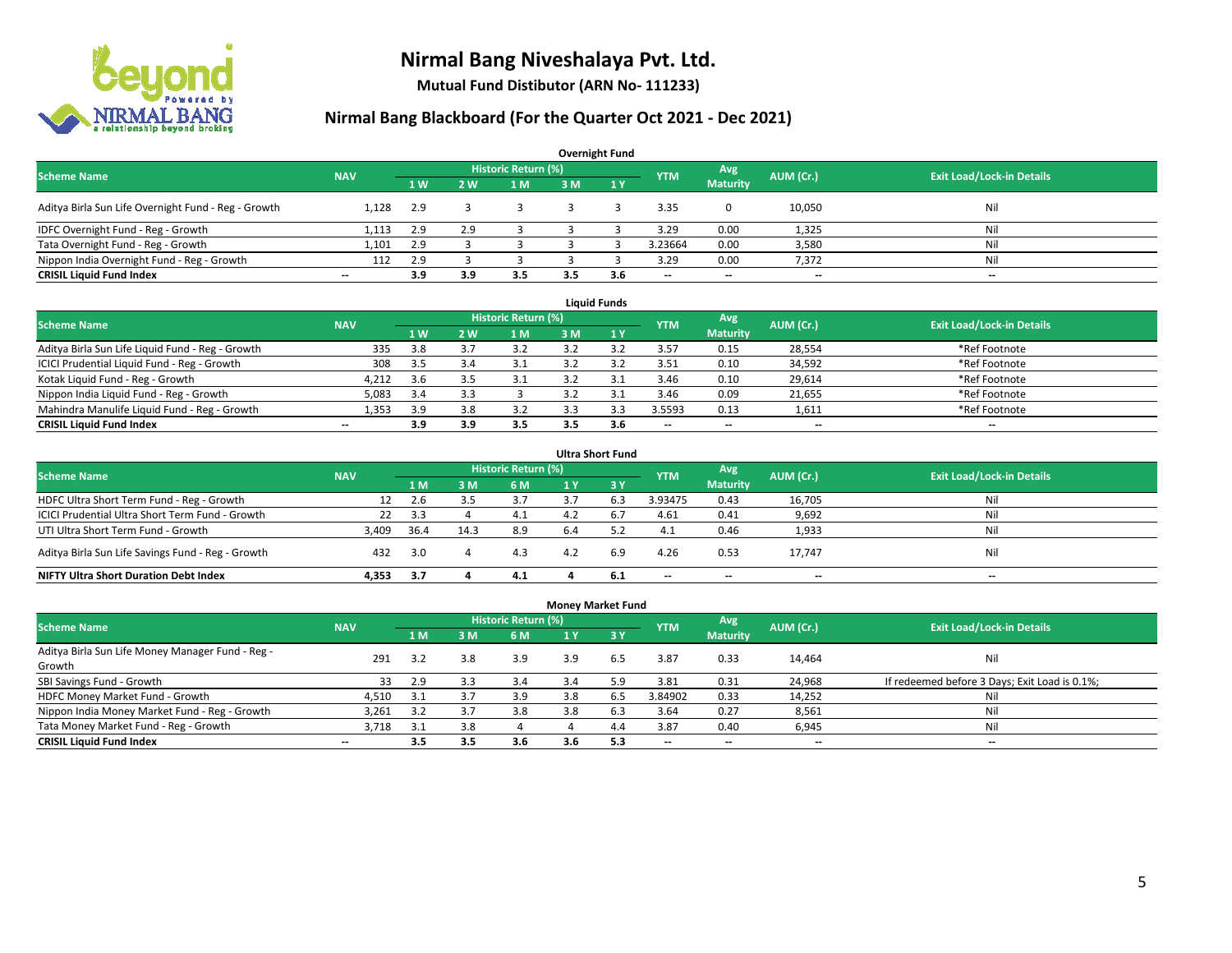

**Mutual Fund Distibutor (ARN No- 111233)**

| <b>Overnight Fund</b>                               |                          |                |                |                            |     |              |            |                          |           |                                  |  |  |  |  |
|-----------------------------------------------------|--------------------------|----------------|----------------|----------------------------|-----|--------------|------------|--------------------------|-----------|----------------------------------|--|--|--|--|
| <b>Scheme Name</b>                                  | <b>NAV</b>               |                |                | <b>Historic Return (%)</b> |     |              | <b>YTM</b> | Avg                      | AUM (Cr.) | <b>Exit Load/Lock-in Details</b> |  |  |  |  |
|                                                     |                          | 1 <sub>W</sub> | 2 <sub>w</sub> | 1 M                        | 3 M | $\sqrt{1}$ V |            | <b>Maturity</b>          |           |                                  |  |  |  |  |
| Aditya Birla Sun Life Overnight Fund - Reg - Growth | 1.128                    | 2.9            |                |                            |     |              | 3.35       |                          | 10,050    | Nil                              |  |  |  |  |
| IDFC Overnight Fund - Reg - Growth                  | 1,113                    | 2.9            | 2.9            |                            |     |              | 3.29       | 0.00                     | 1,325     | Nil                              |  |  |  |  |
| Tata Overnight Fund - Reg - Growth                  | 1.101                    | 2.9            |                |                            |     |              | 3.23664    | 0.00                     | 3,580     | Nil                              |  |  |  |  |
| Nippon India Overnight Fund - Reg - Growth          | 112                      | 2.9            |                |                            |     |              | 3.29       | 0.00                     | 7,372     | Nil                              |  |  |  |  |
| <b>CRISIL Liquid Fund Index</b>                     | $\overline{\phantom{a}}$ | 3.9            | 3.9            | 3.5                        | 3.5 | 3.6          | --         | $\overline{\phantom{a}}$ | $- -$     | $-$                              |  |  |  |  |

| <b>Liquid Funds</b>                              |            |     |     |                     |     |     |                          |                          |           |                                  |  |  |  |
|--------------------------------------------------|------------|-----|-----|---------------------|-----|-----|--------------------------|--------------------------|-----------|----------------------------------|--|--|--|
| <b>Scheme Name</b>                               | <b>NAV</b> |     |     | Historic Return (%) |     |     | <b>YTM</b>               | Avg                      | AUM (Cr.) | <b>Exit Load/Lock-in Details</b> |  |  |  |
|                                                  |            | 1W  | 2 W | 1 M                 | 3 M |     |                          | <b>Maturity</b>          |           |                                  |  |  |  |
| Aditya Birla Sun Life Liquid Fund - Reg - Growth | 335        | 3.8 |     |                     |     |     | 3.57                     | 0.15                     | 28,554    | *Ref Footnote                    |  |  |  |
| ICICI Prudential Liquid Fund - Reg - Growth      | 308        | 3.5 |     | 3.1                 |     |     | 3.51                     | 0.10                     | 34,592    | *Ref Footnote                    |  |  |  |
| Kotak Liquid Fund - Reg - Growth                 | 4,212      | 3.6 |     | 3.1                 |     |     | 3.46                     | 0.10                     | 29,614    | *Ref Footnote                    |  |  |  |
| Nippon India Liquid Fund - Reg - Growth          | 5,083      | 3.4 |     |                     |     |     | 3.46                     | 0.09                     | 21,655    | *Ref Footnote                    |  |  |  |
| Mahindra Manulife Liquid Fund - Reg - Growth     | 1.353      | 3.9 | 3.8 | 3.2                 |     |     | 3.5593                   | 0.13                     | 1,611     | *Ref Footnote                    |  |  |  |
| <b>CRISIL Liquid Fund Index</b>                  | $- -$      | 3.9 | 3.9 | 3.5                 |     | 3.6 | $\overline{\phantom{a}}$ | $\overline{\phantom{a}}$ | $- -$     | $\overline{\phantom{a}}$         |  |  |  |

| <b>Ultra Short Fund</b>                           |            |      |      |                            |     |                  |                          |                          |                          |                                  |  |  |  |
|---------------------------------------------------|------------|------|------|----------------------------|-----|------------------|--------------------------|--------------------------|--------------------------|----------------------------------|--|--|--|
| <b>Scheme Name</b>                                | <b>NAV</b> |      |      | <b>Historic Return (%)</b> |     |                  | <b>YTM</b>               | Avg                      | AUM (Cr.)                | <b>Exit Load/Lock-in Details</b> |  |  |  |
|                                                   |            | 1 M  | : M  | 6 M                        | 1 Y | $\overline{3}$ Y |                          | <b>Maturity</b>          |                          |                                  |  |  |  |
| HDFC Ultra Short Term Fund - Reg - Growth         |            | 2.6  |      |                            |     | 6.3              | 3.93475                  | 0.43                     | 16,705                   | Nil                              |  |  |  |
| ICICI Prudential Ultra Short Term Fund - Growth   | 22         | 3.3  |      | 4.1                        | 4.2 | 6.,              | 4.61                     | 0.41                     | 9,692                    | Nil                              |  |  |  |
| UTI Ultra Short Term Fund - Growth                | 3,409      | 36.4 | 14.3 | 8.9                        | 6.4 |                  | 4.1                      | 0.46                     | 1,933                    | Nil                              |  |  |  |
| Aditya Birla Sun Life Savings Fund - Reg - Growth | 432        | 3.0  |      | 4.3                        | 4.2 | 6.9              | 4.26                     | 0.53                     | 17,747                   | Nil                              |  |  |  |
| <b>NIFTY Ultra Short Duration Debt Index</b>      | 4.353      | -3.7 |      | 4.1                        |     | -6.1             | $\overline{\phantom{a}}$ | $\overline{\phantom{a}}$ | $\overline{\phantom{a}}$ | $-$                              |  |  |  |

| <b>Money Market Fund</b>                         |                          |     |     |                            |     |            |                          |                          |                          |                                               |  |  |  |  |
|--------------------------------------------------|--------------------------|-----|-----|----------------------------|-----|------------|--------------------------|--------------------------|--------------------------|-----------------------------------------------|--|--|--|--|
| <b>Scheme Name</b>                               | <b>NAV</b>               |     |     | <b>Historic Return (%)</b> |     |            | <b>YTM</b>               | Avg                      | AUM (Cr.)                | <b>Exit Load/Lock-in Details</b>              |  |  |  |  |
|                                                  |                          | 1 M | 3M  | 6 M                        | 1 Y | <b>73Y</b> |                          | <b>Maturity</b>          |                          |                                               |  |  |  |  |
| Aditya Birla Sun Life Money Manager Fund - Reg - | 291                      | 3.2 | 3.8 | 3.9                        | 3.9 | 6.5        | 3.87                     | 0.33                     | 14,464                   | Nil                                           |  |  |  |  |
| Growth                                           |                          |     |     |                            |     |            |                          |                          |                          |                                               |  |  |  |  |
| SBI Savings Fund - Growth                        | 33                       | 2.9 | 3.3 | 3.4                        | 3.4 | 5.9        | 3.81                     | 0.31                     | 24,968                   | If redeemed before 3 Days; Exit Load is 0.1%; |  |  |  |  |
| HDFC Money Market Fund - Growth                  | 4,510                    | 3.1 | 3.7 | 3.9                        | 3.8 | 6.5        | 3.84902                  | 0.33                     | 14,252                   | Nil                                           |  |  |  |  |
| Nippon India Money Market Fund - Reg - Growth    | 3.261                    | 3.2 | 3.7 | 3.8                        | 3.8 | 6.3        | 3.64                     | 0.27                     | 8,561                    | Ni                                            |  |  |  |  |
| Tata Money Market Fund - Reg - Growth            | 3.718                    | 3.1 | 3.8 |                            |     | 4.4        | 3.87                     | 0.40                     | 6,945                    | Ni                                            |  |  |  |  |
| <b>CRISIL Liquid Fund Index</b>                  | $\overline{\phantom{a}}$ | 3.5 | 3.5 | 3.6                        | 3.6 | 5.3        | $\overline{\phantom{a}}$ | $\overline{\phantom{a}}$ | $\overline{\phantom{a}}$ | $- -$                                         |  |  |  |  |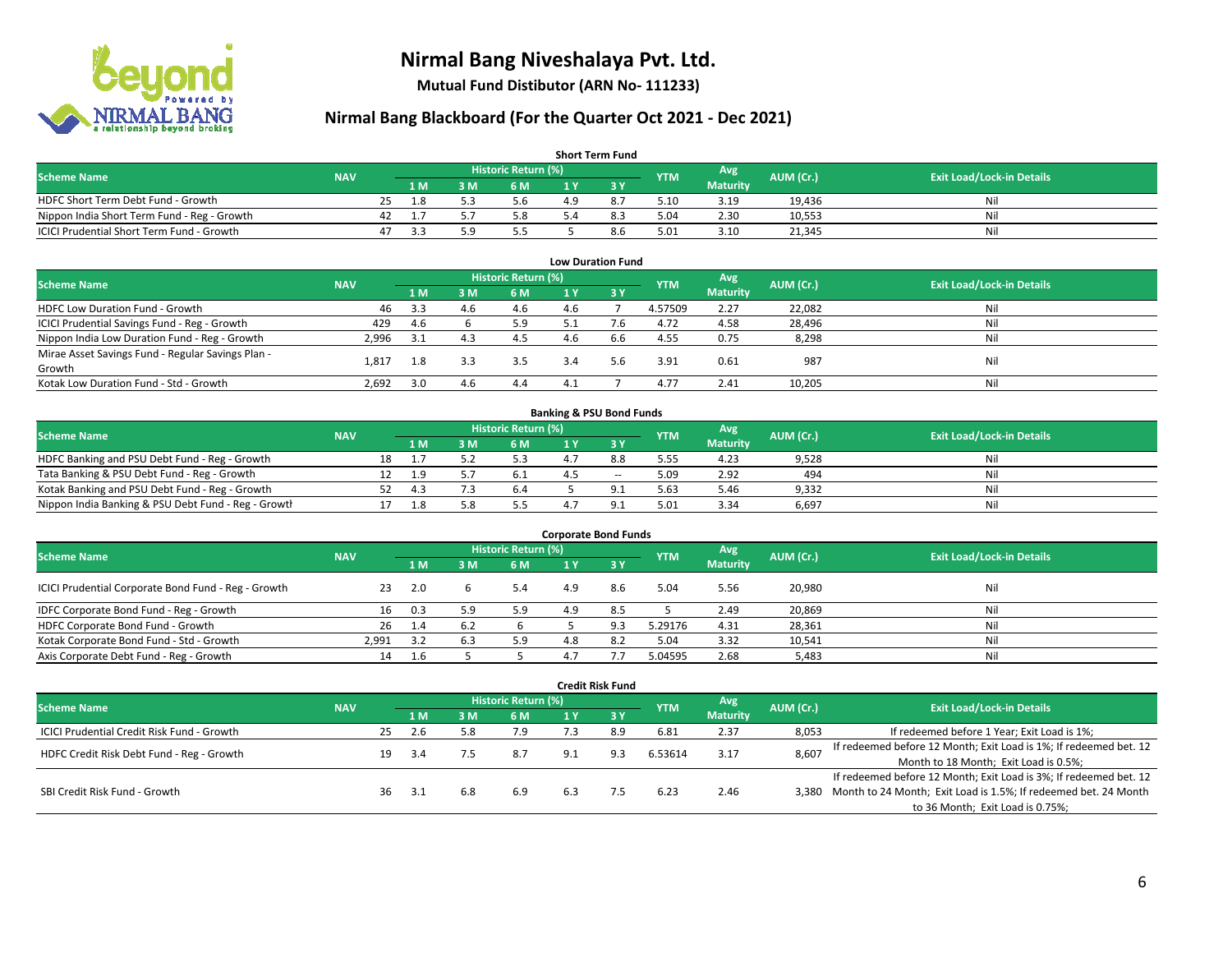

**Mutual Fund Distibutor (ARN No- 111233)**

| <b>Short Term Fund</b>                           |            |    |      |     |                     |    |     |            |                 |           |                                  |  |  |  |
|--------------------------------------------------|------------|----|------|-----|---------------------|----|-----|------------|-----------------|-----------|----------------------------------|--|--|--|
| <b>Scheme Name</b>                               | <b>NAV</b> |    |      |     | Historic Return (%) |    |     | <b>YTM</b> | Avg \           | AUM (Cr.) | <b>Exit Load/Lock-in Details</b> |  |  |  |
|                                                  |            |    | 1 M. | 3 M | 6 M                 |    |     |            | <b>Maturity</b> |           |                                  |  |  |  |
| HDFC Short Term Debt Fund - Growth               |            | 25 | 1.8  |     | 5.6                 | 49 |     | 5.10       | 3.19            | 19.436    | Nil                              |  |  |  |
| Nippon India Short Term Fund - Reg - Growth      |            | 42 |      |     | 5.8                 |    |     | 5.04       | 2.30            | 10,553    | Nil                              |  |  |  |
| <b>ICICI Prudential Short Term Fund - Growth</b> |            | 47 | 3.3  |     | 5.5                 |    | 8.6 | 5.01       | 3.10            | 21,345    | Nil                              |  |  |  |

| <b>Low Duration Fund</b>                          |            |      |     |                            |     |      |            |                 |           |                                  |  |  |  |
|---------------------------------------------------|------------|------|-----|----------------------------|-----|------|------------|-----------------|-----------|----------------------------------|--|--|--|
| <b>Scheme Name</b>                                | <b>NAV</b> |      |     | <b>Historic Return (%)</b> |     |      | <b>YTM</b> | Avg             | AUM (Cr.) | <b>Exit Load/Lock-in Details</b> |  |  |  |
|                                                   |            | 1 M  | 3 M | 6 M                        |     | -3 Y |            | <b>Maturity</b> |           |                                  |  |  |  |
| HDFC Low Duration Fund - Growth                   | 46         | 3.3  | 4.6 | 4.6                        | 4.6 |      | 4.57509    | 2.27            | 22,082    | Nil                              |  |  |  |
| ICICI Prudential Savings Fund - Reg - Growth      | 429        | 4.6  |     | 5.9                        | 5.1 |      | 4.72       | 4.58            | 28,496    | Nil                              |  |  |  |
| Nippon India Low Duration Fund - Reg - Growth     | 2,996      | -3.1 | 4.3 | 4.5                        | 4.6 | 6.6  | 4.55       | 0.75            | 8,298     | Nil                              |  |  |  |
| Mirae Asset Savings Fund - Regular Savings Plan - |            |      | 3.3 | 3.5                        |     |      |            |                 |           | Nil                              |  |  |  |
| Growth                                            | 1.81.      |      |     |                            | 3.4 | 5.6  | 3.91       | 0.61            | 987       |                                  |  |  |  |
| Kotak Low Duration Fund - Std - Growth            | 2,692      | 3.0  | 4.6 | 4.4                        | 41  |      | 4.77       | 2.41            | 10,205    | Nil                              |  |  |  |

| <b>Banking &amp; PSU Bond Funds</b>                 |            |  |      |     |                     |  |       |            |                 |           |                                  |  |  |  |
|-----------------------------------------------------|------------|--|------|-----|---------------------|--|-------|------------|-----------------|-----------|----------------------------------|--|--|--|
| <b>Scheme Name</b>                                  | <b>NAV</b> |  |      |     | Historic Return (%) |  |       | <b>YTM</b> | Avg             | AUM (Cr.) | <b>Exit Load/Lock-in Details</b> |  |  |  |
|                                                     |            |  | 4 M. | ያ M | 6 M                 |  |       |            | <b>Maturity</b> |           |                                  |  |  |  |
| HDFC Banking and PSU Debt Fund - Reg - Growth       |            |  |      |     |                     |  | 8.8   | 5.55       | 4.23            | 9,528     | Nil                              |  |  |  |
| Tata Banking & PSU Debt Fund - Reg - Growth         |            |  | 1.9  |     |                     |  | $- -$ | 5.09       | 2.92            | 494       | Nil                              |  |  |  |
| Kotak Banking and PSU Debt Fund - Reg - Growth      |            |  | 4.3  |     | 6.4                 |  |       | 5.63       | 5.46            | 9,332     | Nil                              |  |  |  |
| Nippon India Banking & PSU Debt Fund - Reg - Growth |            |  |      |     |                     |  |       | 5.01       | 3.34            | 6.697     | Nil                              |  |  |  |

| <b>Corporate Bond Funds</b>                         |            |     |     |                            |     |     |            |                        |           |                                  |  |
|-----------------------------------------------------|------------|-----|-----|----------------------------|-----|-----|------------|------------------------|-----------|----------------------------------|--|
| <b>Scheme Name</b>                                  | <b>NAV</b> |     |     | <b>Historic Return (%)</b> |     |     | <b>YTM</b> | Avg<br><b>Maturity</b> | AUM (Cr.) | <b>Exit Load/Lock-in Details</b> |  |
|                                                     |            | 1 M | 3 M | 6 M                        |     | 3 Y |            |                        |           |                                  |  |
| ICICI Prudential Corporate Bond Fund - Reg - Growth | 23         | 2.0 |     | 5.4                        | 4.9 | 8.6 | 5.04       | 5.56                   | 20,980    | Nil                              |  |
| IDFC Corporate Bond Fund - Reg - Growth             | 16         | 0.3 | و., | 5.9                        | 4.9 | 8.5 |            | 2.49                   | 20,869    | Nil                              |  |
| HDFC Corporate Bond Fund - Growth                   | 26         | 1.4 |     |                            |     | 9.3 | 5.29176    | 4.31                   | 28,361    | Nil                              |  |
| Kotak Corporate Bond Fund - Std - Growth            | 2,991      | 3.2 |     | 5.9                        | 4.8 | 8.2 | 5.04       | 3.32                   | 10,541    | Nil                              |  |
| Axis Corporate Debt Fund - Reg - Growth             | 14         |     |     |                            |     |     | 5.04595    | 2.68                   | 5,483     | Nil                              |  |

| <b>Credit Risk Fund</b>                           |            |                            |      |     |     |     |                  |            |                 |           |                                                                       |
|---------------------------------------------------|------------|----------------------------|------|-----|-----|-----|------------------|------------|-----------------|-----------|-----------------------------------------------------------------------|
| <b>Scheme Name</b>                                | <b>NAV</b> | <b>Historic Return (%)</b> |      |     |     |     |                  |            | Avg             | AUM (Cr.) | <b>Exit Load/Lock-in Details</b>                                      |
|                                                   |            |                            | 1 M  | : M | 6 M | 1 Y | $\overline{3}$ Y | <b>YTM</b> | <b>Maturity</b> |           |                                                                       |
| <b>ICICI Prudential Credit Risk Fund - Growth</b> |            | 25                         | 2.6  | 5.8 | 7.9 |     | 8.9              | 6.81       | 2.37            | 8,053     | If redeemed before 1 Year; Exit Load is 1%;                           |
| HDFC Credit Risk Debt Fund - Reg - Growth         |            | 19                         | -3.4 |     | 8.7 | 9.1 | 9.3              | 6.53614    | 3.17            | 8,607     | If redeemed before 12 Month; Exit Load is 1%; If redeemed bet. 12     |
|                                                   |            |                            |      |     |     |     |                  |            |                 |           | Month to 18 Month; Exit Load is 0.5%;                                 |
| SBI Credit Risk Fund - Growth                     |            |                            |      |     |     |     |                  |            |                 |           | If redeemed before 12 Month; Exit Load is 3%; If redeemed bet. 12     |
|                                                   |            | 36                         | 3.1  | 6.8 | 6.9 | 6.3 |                  | 6.23       | 2.46            |           | 3,380 Month to 24 Month; Exit Load is 1.5%; If redeemed bet. 24 Month |
|                                                   |            |                            |      |     |     |     |                  |            |                 |           | to 36 Month; Exit Load is 0.75%;                                      |